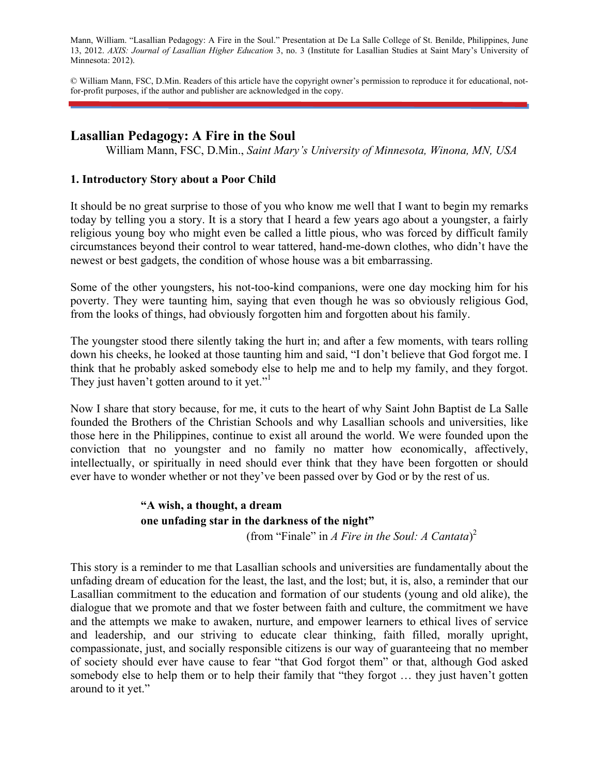Mann, William. "Lasallian Pedagogy: A Fire in the Soul." Presentation at De La Salle College of St. Benilde, Philippines, June 13, 2012. *AXIS: Journal of Lasallian Higher Education* 3, no. 3 (Institute for Lasallian Studies at Saint Mary's University of Minnesota: 2012).

© William Mann, FSC, D.Min. Readers of this article have the copyright owner's permission to reproduce it for educational, notfor-profit purposes, if the author and publisher are acknowledged in the copy.

### **Lasallian Pedagogy: A Fire in the Soul**

William Mann, FSC, D.Min., *Saint Mary's University of Minnesota, Winona, MN, USA* 

### **1. Introductory Story about a Poor Child**

It should be no great surprise to those of you who know me well that I want to begin my remarks today by telling you a story. It is a story that I heard a few years ago about a youngster, a fairly religious young boy who might even be called a little pious, who was forced by difficult family circumstances beyond their control to wear tattered, hand-me-down clothes, who didn't have the newest or best gadgets, the condition of whose house was a bit embarrassing.

Some of the other youngsters, his not-too-kind companions, were one day mocking him for his poverty. They were taunting him, saying that even though he was so obviously religious God, from the looks of things, had obviously forgotten him and forgotten about his family.

The youngster stood there silently taking the hurt in; and after a few moments, with tears rolling down his cheeks, he looked at those taunting him and said, "I don't believe that God forgot me. I think that he probably asked somebody else to help me and to help my family, and they forgot. They just haven't gotten around to it yet."

Now I share that story because, for me, it cuts to the heart of why Saint John Baptist de La Salle founded the Brothers of the Christian Schools and why Lasallian schools and universities, like those here in the Philippines, continue to exist all around the world. We were founded upon the conviction that no youngster and no family no matter how economically, affectively, intellectually, or spiritually in need should ever think that they have been forgotten or should ever have to wonder whether or not they've been passed over by God or by the rest of us.

## **"A wish, a thought, a dream one unfading star in the darkness of the night"**

(from "Finale" in *A Fire in the Soul: A Cantata*) 2

This story is a reminder to me that Lasallian schools and universities are fundamentally about the unfading dream of education for the least, the last, and the lost; but, it is, also, a reminder that our Lasallian commitment to the education and formation of our students (young and old alike), the dialogue that we promote and that we foster between faith and culture, the commitment we have and the attempts we make to awaken, nurture, and empower learners to ethical lives of service and leadership, and our striving to educate clear thinking, faith filled, morally upright, compassionate, just, and socially responsible citizens is our way of guaranteeing that no member of society should ever have cause to fear "that God forgot them" or that, although God asked somebody else to help them or to help their family that "they forgot … they just haven't gotten around to it yet."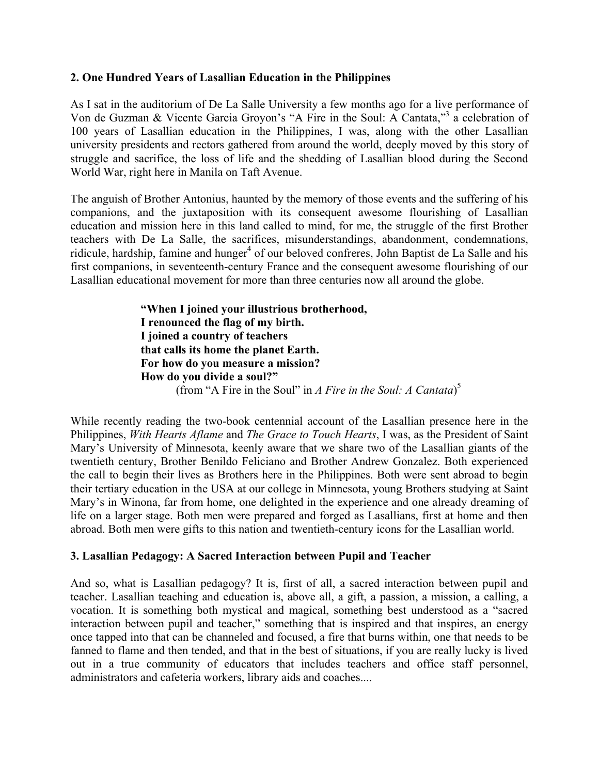#### **2. One Hundred Years of Lasallian Education in the Philippines**

As I sat in the auditorium of De La Salle University a few months ago for a live performance of Von de Guzman & Vicente Garcia Groyon's "A Fire in the Soul: A Cantata,"<sup>3</sup> a celebration of 100 years of Lasallian education in the Philippines, I was, along with the other Lasallian university presidents and rectors gathered from around the world, deeply moved by this story of struggle and sacrifice, the loss of life and the shedding of Lasallian blood during the Second World War, right here in Manila on Taft Avenue.

The anguish of Brother Antonius, haunted by the memory of those events and the suffering of his companions, and the juxtaposition with its consequent awesome flourishing of Lasallian education and mission here in this land called to mind, for me, the struggle of the first Brother teachers with De La Salle, the sacrifices, misunderstandings, abandonment, condemnations, ridicule, hardship, famine and hunger<sup>4</sup> of our beloved confreres, John Baptist de La Salle and his first companions, in seventeenth-century France and the consequent awesome flourishing of our Lasallian educational movement for more than three centuries now all around the globe.

**"When I joined your illustrious brotherhood, I renounced the flag of my birth. I joined a country of teachers that calls its home the planet Earth. For how do you measure a mission? How do you divide a soul?"** (from "A Fire in the Soul" in *A Fire in the Soul: A Cantata*) 5

While recently reading the two-book centennial account of the Lasallian presence here in the Philippines, *With Hearts Aflame* and *The Grace to Touch Hearts*, I was, as the President of Saint Mary's University of Minnesota, keenly aware that we share two of the Lasallian giants of the twentieth century, Brother Benildo Feliciano and Brother Andrew Gonzalez. Both experienced the call to begin their lives as Brothers here in the Philippines. Both were sent abroad to begin their tertiary education in the USA at our college in Minnesota, young Brothers studying at Saint Mary's in Winona, far from home, one delighted in the experience and one already dreaming of life on a larger stage. Both men were prepared and forged as Lasallians, first at home and then abroad. Both men were gifts to this nation and twentieth-century icons for the Lasallian world.

### **3. Lasallian Pedagogy: A Sacred Interaction between Pupil and Teacher**

And so, what is Lasallian pedagogy? It is, first of all, a sacred interaction between pupil and teacher. Lasallian teaching and education is, above all, a gift, a passion, a mission, a calling, a vocation. It is something both mystical and magical, something best understood as a "sacred interaction between pupil and teacher," something that is inspired and that inspires, an energy once tapped into that can be channeled and focused, a fire that burns within, one that needs to be fanned to flame and then tended, and that in the best of situations, if you are really lucky is lived out in a true community of educators that includes teachers and office staff personnel, administrators and cafeteria workers, library aids and coaches....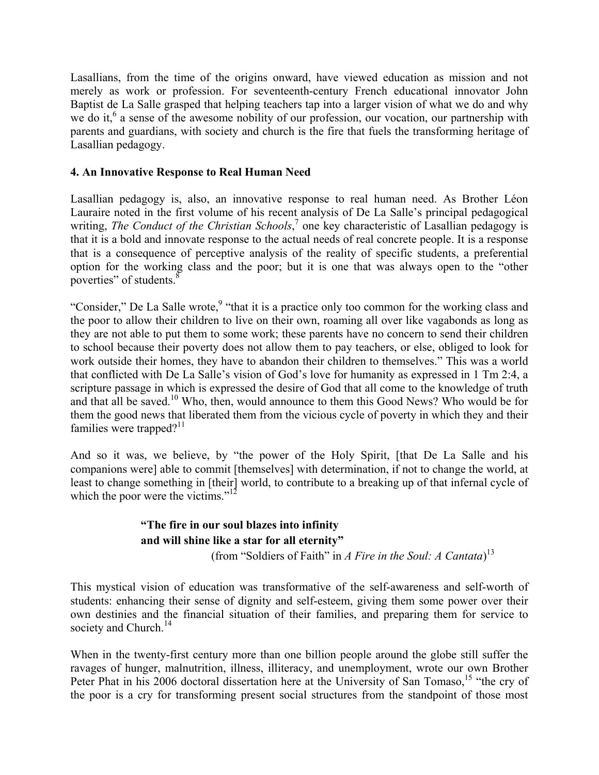Lasallians, from the time of the origins onward, have viewed education as mission and not merely as work or profession. For seventeenth-century French educational innovator John Baptist de La Salle grasped that helping teachers tap into a larger vision of what we do and why we do it,<sup>6</sup> a sense of the awesome nobility of our profession, our vocation, our partnership with parents and guardians, with society and church is the fire that fuels the transforming heritage of Lasallian pedagogy.

### **4. An Innovative Response to Real Human Need**

Lasallian pedagogy is, also, an innovative response to real human need. As Brother Léon Lauraire noted in the first volume of his recent analysis of De La Salle's principal pedagogical writing, *The Conduct of the Christian Schools*,<sup>7</sup> one key characteristic of Lasallian pedagogy is that it is a bold and innovate response to the actual needs of real concrete people. It is a response that is a consequence of perceptive analysis of the reality of specific students, a preferential option for the working class and the poor; but it is one that was always open to the "other poverties" of students.<sup>8</sup>

"Consider," De La Salle wrote,<sup>9</sup> "that it is a practice only too common for the working class and the poor to allow their children to live on their own, roaming all over like vagabonds as long as they are not able to put them to some work; these parents have no concern to send their children to school because their poverty does not allow them to pay teachers, or else, obliged to look for work outside their homes, they have to abandon their children to themselves." This was a world that conflicted with De La Salle's vision of God's love for humanity as expressed in 1 Tm 2:4, a scripture passage in which is expressed the desire of God that all come to the knowledge of truth and that all be saved.<sup>10</sup> Who, then, would announce to them this Good News? Who would be for them the good news that liberated them from the vicious cycle of poverty in which they and their families were trapped? $11$ 

And so it was, we believe, by "the power of the Holy Spirit, [that De La Salle and his companions were] able to commit [themselves] with determination, if not to change the world, at least to change something in [their] world, to contribute to a breaking up of that infernal cycle of which the poor were the victims."<sup>12</sup>

# **"The fire in our soul blazes into infinity and will shine like a star for all eternity"**

(from "Soldiers of Faith" in *A Fire in the Soul: A Cantata*) 13

This mystical vision of education was transformative of the self-awareness and self-worth of students: enhancing their sense of dignity and self-esteem, giving them some power over their own destinies and the financial situation of their families, and preparing them for service to society and Church.<sup>14</sup>

When in the twenty-first century more than one billion people around the globe still suffer the ravages of hunger, malnutrition, illness, illiteracy, and unemployment, wrote our own Brother Peter Phat in his 2006 doctoral dissertation here at the University of San Tomaso,<sup>15</sup> "the cry of the poor is a cry for transforming present social structures from the standpoint of those most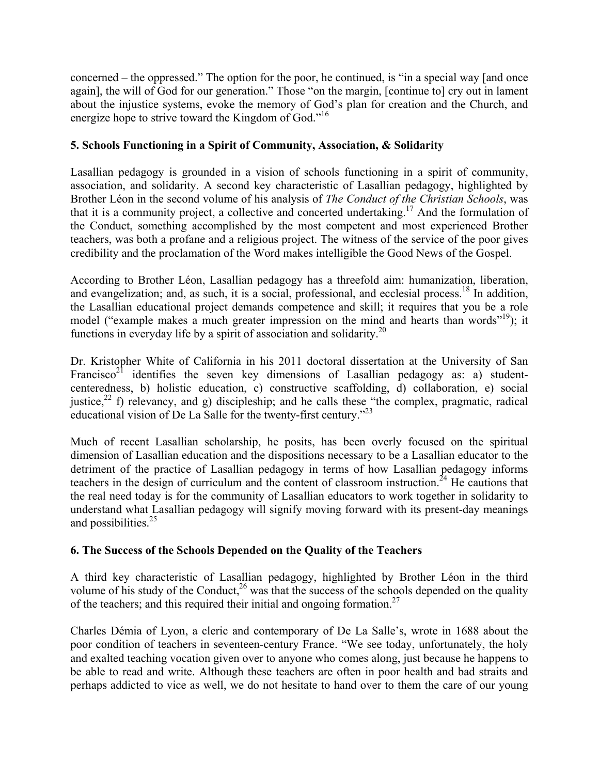concerned – the oppressed." The option for the poor, he continued, is "in a special way [and once again], the will of God for our generation." Those "on the margin, [continue to] cry out in lament about the injustice systems, evoke the memory of God's plan for creation and the Church, and energize hope to strive toward the Kingdom of God."<sup>16</sup>

### **5. Schools Functioning in a Spirit of Community, Association, & Solidarity**

Lasallian pedagogy is grounded in a vision of schools functioning in a spirit of community, association, and solidarity. A second key characteristic of Lasallian pedagogy, highlighted by Brother Léon in the second volume of his analysis of *The Conduct of the Christian Schools*, was that it is a community project, a collective and concerted undertaking.17 And the formulation of the Conduct, something accomplished by the most competent and most experienced Brother teachers, was both a profane and a religious project. The witness of the service of the poor gives credibility and the proclamation of the Word makes intelligible the Good News of the Gospel.

According to Brother Léon, Lasallian pedagogy has a threefold aim: humanization, liberation, and evangelization; and, as such, it is a social, professional, and ecclesial process.<sup>18</sup> In addition, the Lasallian educational project demands competence and skill; it requires that you be a role model ("example makes a much greater impression on the mind and hearts than words"<sup>19</sup>); it functions in everyday life by a spirit of association and solidarity.<sup>20</sup>

Dr. Kristopher White of California in his 2011 doctoral dissertation at the University of San Francisco<sup>21</sup> identifies the seven key dimensions of Lasallian pedagogy as: a) studentcenteredness, b) holistic education, c) constructive scaffolding, d) collaboration, e) social justice,<sup>22</sup> f) relevancy, and g) discipleship; and he calls these "the complex, pragmatic, radical educational vision of De La Salle for the twenty-first century."23

Much of recent Lasallian scholarship, he posits, has been overly focused on the spiritual dimension of Lasallian education and the dispositions necessary to be a Lasallian educator to the detriment of the practice of Lasallian pedagogy in terms of how Lasallian pedagogy informs teachers in the design of curriculum and the content of classroom instruction.<sup>24</sup> He cautions that the real need today is for the community of Lasallian educators to work together in solidarity to understand what Lasallian pedagogy will signify moving forward with its present-day meanings and possibilities.<sup>25</sup>

### **6. The Success of the Schools Depended on the Quality of the Teachers**

A third key characteristic of Lasallian pedagogy, highlighted by Brother Léon in the third volume of his study of the Conduct,  $26$  was that the success of the schools depended on the quality of the teachers; and this required their initial and ongoing formation.27

Charles Démia of Lyon, a cleric and contemporary of De La Salle's, wrote in 1688 about the poor condition of teachers in seventeen-century France. "We see today, unfortunately, the holy and exalted teaching vocation given over to anyone who comes along, just because he happens to be able to read and write. Although these teachers are often in poor health and bad straits and perhaps addicted to vice as well, we do not hesitate to hand over to them the care of our young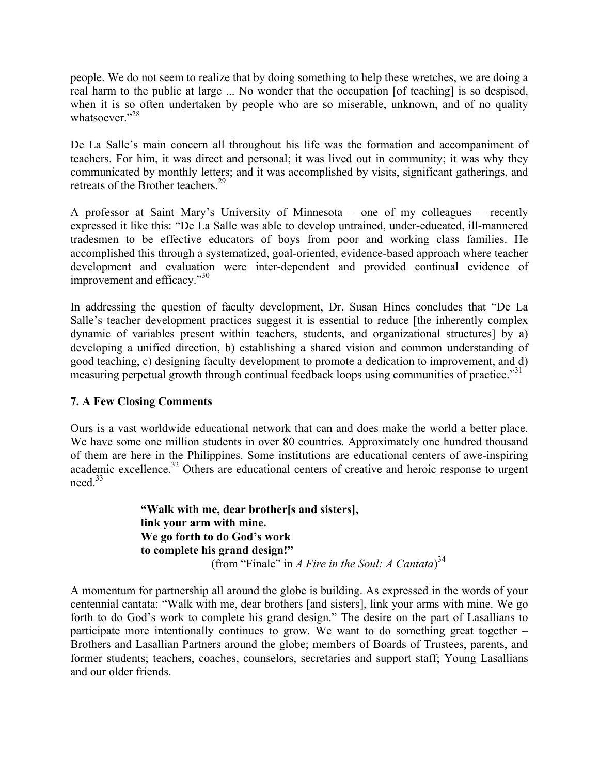people. We do not seem to realize that by doing something to help these wretches, we are doing a real harm to the public at large ... No wonder that the occupation [of teaching] is so despised, when it is so often undertaken by people who are so miserable, unknown, and of no quality whatsoever<sup>"28</sup>

De La Salle's main concern all throughout his life was the formation and accompaniment of teachers. For him, it was direct and personal; it was lived out in community; it was why they communicated by monthly letters; and it was accomplished by visits, significant gatherings, and retreats of the Brother teachers.<sup>29</sup>

A professor at Saint Mary's University of Minnesota – one of my colleagues – recently expressed it like this: "De La Salle was able to develop untrained, under-educated, ill-mannered tradesmen to be effective educators of boys from poor and working class families. He accomplished this through a systematized, goal-oriented, evidence-based approach where teacher development and evaluation were inter-dependent and provided continual evidence of improvement and efficacy."<sup>30</sup>

In addressing the question of faculty development, Dr. Susan Hines concludes that "De La Salle's teacher development practices suggest it is essential to reduce [the inherently complex dynamic of variables present within teachers, students, and organizational structures] by a) developing a unified direction, b) establishing a shared vision and common understanding of good teaching, c) designing faculty development to promote a dedication to improvement, and d) measuring perpetual growth through continual feedback loops using communities of practice."<sup>31</sup>

### **7. A Few Closing Comments**

Ours is a vast worldwide educational network that can and does make the world a better place. We have some one million students in over 80 countries. Approximately one hundred thousand of them are here in the Philippines. Some institutions are educational centers of awe-inspiring academic excellence.<sup>32</sup> Others are educational centers of creative and heroic response to urgent need.33

**"Walk with me, dear brother[s and sisters], link your arm with mine. We go forth to do God's work to complete his grand design!"**  (from "Finale" in *A Fire in the Soul: A Cantata*) 34

A momentum for partnership all around the globe is building. As expressed in the words of your centennial cantata: "Walk with me, dear brothers [and sisters], link your arms with mine. We go forth to do God's work to complete his grand design." The desire on the part of Lasallians to participate more intentionally continues to grow. We want to do something great together – Brothers and Lasallian Partners around the globe; members of Boards of Trustees, parents, and former students; teachers, coaches, counselors, secretaries and support staff; Young Lasallians and our older friends.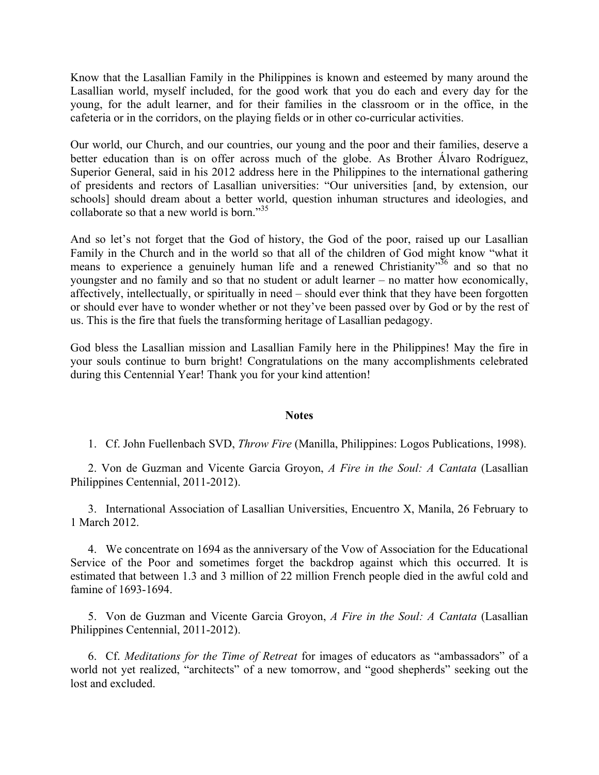Know that the Lasallian Family in the Philippines is known and esteemed by many around the Lasallian world, myself included, for the good work that you do each and every day for the young, for the adult learner, and for their families in the classroom or in the office, in the cafeteria or in the corridors, on the playing fields or in other co-curricular activities.

Our world, our Church, and our countries, our young and the poor and their families, deserve a better education than is on offer across much of the globe. As Brother Álvaro Rodríguez, Superior General, said in his 2012 address here in the Philippines to the international gathering of presidents and rectors of Lasallian universities: "Our universities [and, by extension, our schools] should dream about a better world, question inhuman structures and ideologies, and collaborate so that a new world is born."<sup>35</sup>

And so let's not forget that the God of history, the God of the poor, raised up our Lasallian Family in the Church and in the world so that all of the children of God might know "what it means to experience a genuinely human life and a renewed Christianity<sup>36</sup> and so that no youngster and no family and so that no student or adult learner – no matter how economically, affectively, intellectually, or spiritually in need – should ever think that they have been forgotten or should ever have to wonder whether or not they've been passed over by God or by the rest of us. This is the fire that fuels the transforming heritage of Lasallian pedagogy.

God bless the Lasallian mission and Lasallian Family here in the Philippines! May the fire in your souls continue to burn bright! Congratulations on the many accomplishments celebrated during this Centennial Year! Thank you for your kind attention!

#### **Notes**

1. Cf. John Fuellenbach SVD, *Throw Fire* (Manilla, Philippines: Logos Publications, 1998).

2. Von de Guzman and Vicente Garcia Groyon, *A Fire in the Soul: A Cantata* (Lasallian Philippines Centennial, 2011-2012).

3. International Association of Lasallian Universities, Encuentro X, Manila, 26 February to 1 March 2012.

4. We concentrate on 1694 as the anniversary of the Vow of Association for the Educational Service of the Poor and sometimes forget the backdrop against which this occurred. It is estimated that between 1.3 and 3 million of 22 million French people died in the awful cold and famine of 1693-1694.

5. Von de Guzman and Vicente Garcia Groyon, *A Fire in the Soul: A Cantata* (Lasallian Philippines Centennial, 2011-2012).

6. Cf. *Meditations for the Time of Retreat* for images of educators as "ambassadors" of a world not yet realized, "architects" of a new tomorrow, and "good shepherds" seeking out the lost and excluded.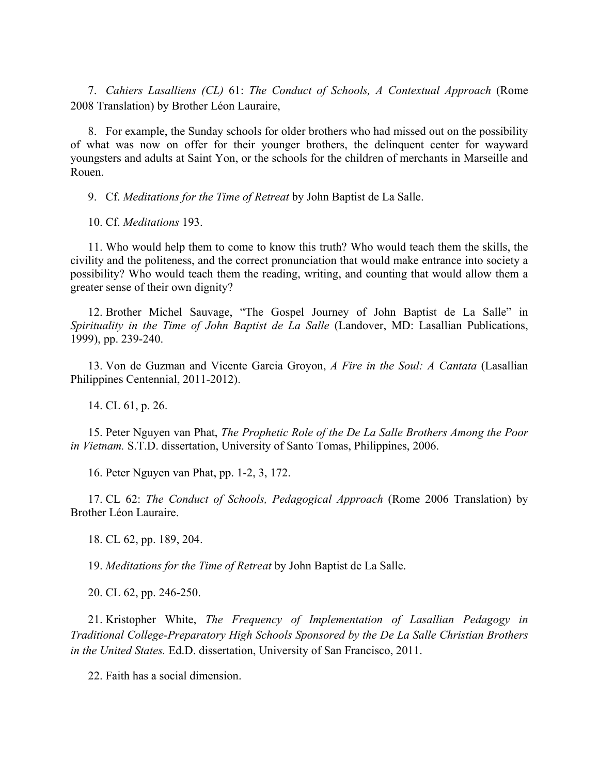7. *Cahiers Lasalliens (CL)* 61: *The Conduct of Schools, A Contextual Approach* (Rome 2008 Translation) by Brother Léon Lauraire,

8. For example, the Sunday schools for older brothers who had missed out on the possibility of what was now on offer for their younger brothers, the delinquent center for wayward youngsters and adults at Saint Yon, or the schools for the children of merchants in Marseille and Rouen.

9. Cf. *Meditations for the Time of Retreat* by John Baptist de La Salle.

10. Cf. *Meditations* 193.

11. Who would help them to come to know this truth? Who would teach them the skills, the civility and the politeness, and the correct pronunciation that would make entrance into society a possibility? Who would teach them the reading, writing, and counting that would allow them a greater sense of their own dignity?

12. Brother Michel Sauvage, "The Gospel Journey of John Baptist de La Salle" in *Spirituality in the Time of John Baptist de La Salle* (Landover, MD: Lasallian Publications, 1999), pp. 239-240.

13. Von de Guzman and Vicente Garcia Groyon, *A Fire in the Soul: A Cantata* (Lasallian Philippines Centennial, 2011-2012).

14. CL 61, p. 26.

15. Peter Nguyen van Phat, *The Prophetic Role of the De La Salle Brothers Among the Poor in Vietnam.* S.T.D. dissertation, University of Santo Tomas, Philippines, 2006.

16. Peter Nguyen van Phat, pp. 1-2, 3, 172.

17. CL 62: *The Conduct of Schools, Pedagogical Approach* (Rome 2006 Translation) by Brother Léon Lauraire.

18. CL 62, pp. 189, 204.

19. *Meditations for the Time of Retreat* by John Baptist de La Salle.

20. CL 62, pp. 246-250.

21. Kristopher White, *The Frequency of Implementation of Lasallian Pedagogy in Traditional College-Preparatory High Schools Sponsored by the De La Salle Christian Brothers in the United States.* Ed.D. dissertation, University of San Francisco, 2011.

22. Faith has a social dimension.